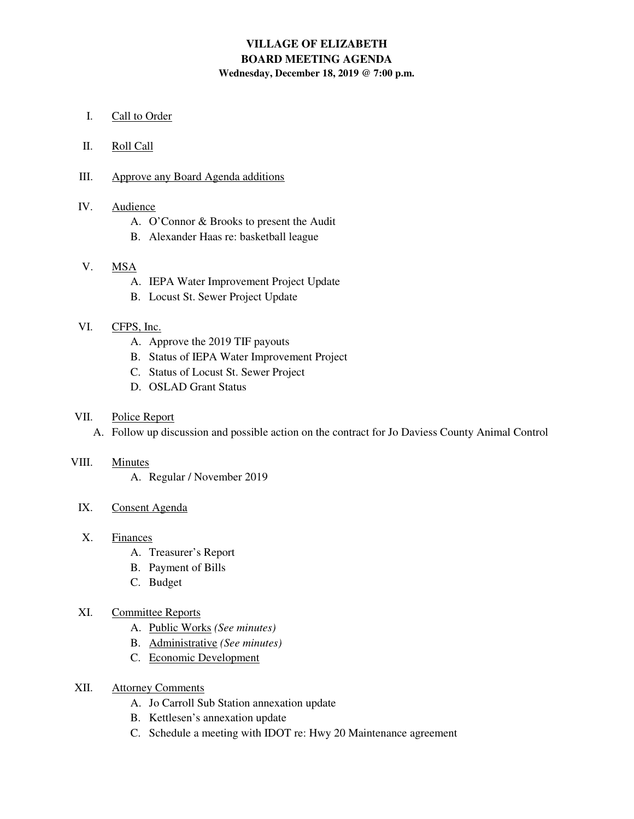# **VILLAGE OF ELIZABETH BOARD MEETING AGENDA Wednesday, December 18, 2019 @ 7:00 p.m.**

I. Call to Order

### II. Roll Call

## III. Approve any Board Agenda additions

## IV. Audience

- A. O'Connor & Brooks to present the Audit
- B. Alexander Haas re: basketball league

## V. MSA

- A. IEPA Water Improvement Project Update
- B. Locust St. Sewer Project Update

## VI. CFPS, Inc.

- A. Approve the 2019 TIF payouts
- B. Status of IEPA Water Improvement Project
- C. Status of Locust St. Sewer Project
- D. OSLAD Grant Status

#### VII. Police Report

A. Follow up discussion and possible action on the contract for Jo Daviess County Animal Control

## VIII. Minutes

A. Regular / November 2019

## IX. Consent Agenda

## X. Finances

- A. Treasurer's Report
- B. Payment of Bills
- C. Budget

## XI. Committee Reports

- A. Public Works *(See minutes)*
- B. Administrative *(See minutes)*
- C. Economic Development
- XII. Attorney Comments
	- A. Jo Carroll Sub Station annexation update
	- B. Kettlesen's annexation update
	- C. Schedule a meeting with IDOT re: Hwy 20 Maintenance agreement